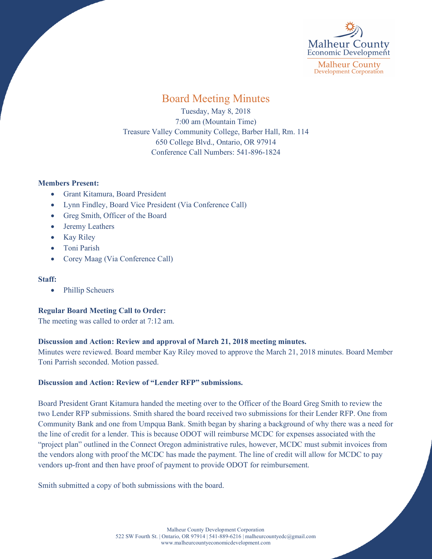

**Malheur County Development Corporation** 

# Board Meeting Minutes

Tuesday, May 8, 2018 7:00 am (Mountain Time) Treasure Valley Community College, Barber Hall, Rm. 114 650 College Blvd., Ontario, OR 97914 Conference Call Numbers: 541-896-1824

## **Members Present:**

- Grant Kitamura, Board President
- Lynn Findley, Board Vice President (Via Conference Call)
- Greg Smith, Officer of the Board
- Jeremy Leathers
- Kay Riley
- Toni Parish
- Corey Maag (Via Conference Call)

### **Staff:**

• Phillip Scheuers

# **Regular Board Meeting Call to Order:**

The meeting was called to order at 7:12 am.

# **Discussion and Action: Review and approval of March 21, 2018 meeting minutes.**

Minutes were reviewed. Board member Kay Riley moved to approve the March 21, 2018 minutes. Board Member Toni Parrish seconded. Motion passed.

# **Discussion and Action: Review of "Lender RFP" submissions.**

Board President Grant Kitamura handed the meeting over to the Officer of the Board Greg Smith to review the two Lender RFP submissions. Smith shared the board received two submissions for their Lender RFP. One from Community Bank and one from Umpqua Bank. Smith began by sharing a background of why there was a need for the line of credit for a lender. This is because ODOT will reimburse MCDC for expenses associated with the "project plan" outlined in the Connect Oregon administrative rules, however, MCDC must submit invoices from the vendors along with proof the MCDC has made the payment. The line of credit will allow for MCDC to pay vendors up-front and then have proof of payment to provide ODOT for reimbursement.

Smith submitted a copy of both submissions with the board.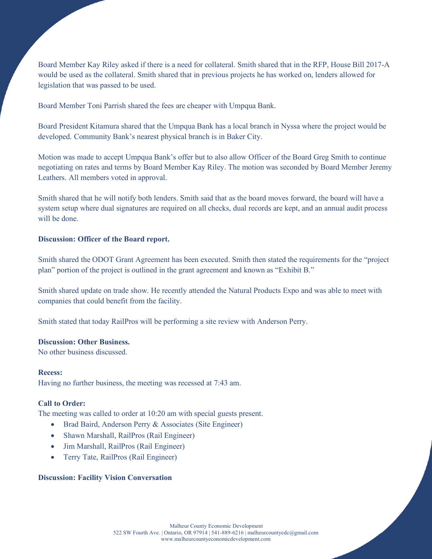Board Member Kay Riley asked if there is a need for collateral. Smith shared that in the RFP, House Bill 2017-A would be used as the collateral. Smith shared that in previous projects he has worked on, lenders allowed for legislation that was passed to be used.

Board Member Toni Parrish shared the fees are cheaper with Umpqua Bank.

Board President Kitamura shared that the Umpqua Bank has a local branch in Nyssa where the project would be developed. Community Bank's nearest physical branch is in Baker City.

Motion was made to accept Umpqua Bank's offer but to also allow Officer of the Board Greg Smith to continue negotiating on rates and terms by Board Member Kay Riley. The motion was seconded by Board Member Jeremy Leathers. All members voted in approval.

Smith shared that he will notify both lenders. Smith said that as the board moves forward, the board will have a system setup where dual signatures are required on all checks, dual records are kept, and an annual audit process will be done.

#### **Discussion: Officer of the Board report.**

Smith shared the ODOT Grant Agreement has been executed. Smith then stated the requirements for the "project plan" portion of the project is outlined in the grant agreement and known as "Exhibit B."

Smith shared update on trade show. He recently attended the Natural Products Expo and was able to meet with companies that could benefit from the facility.

Smith stated that today RailPros will be performing a site review with Anderson Perry.

#### **Discussion: Other Business.**

No other business discussed.

**Recess:** Having no further business, the meeting was recessed at 7:43 am.

#### **Call to Order:**

The meeting was called to order at 10:20 am with special guests present.

- Brad Baird, Anderson Perry & Associates (Site Engineer)
- Shawn Marshall, RailPros (Rail Engineer)
- Jim Marshall, RailPros (Rail Engineer)
- Terry Tate, RailPros (Rail Engineer)

#### **Discussion: Facility Vision Conversation**